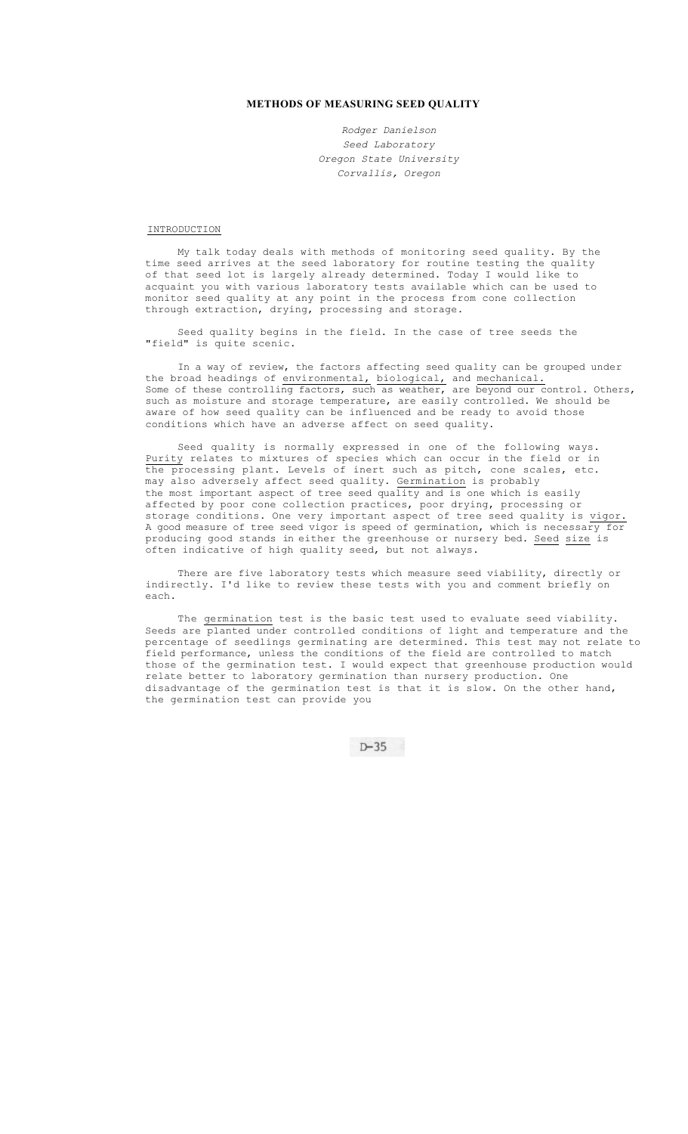## **METHODS OF MEASURING SEED QUALITY**

*Rodger Danielson Seed Laboratory Oregon State University Corvallis, Oregon* 

INTRODUCTION

My talk today deals with methods of monitoring seed quality. By the time seed arrives at the seed laboratory for routine testing the quality of that seed lot is largely already determined. Today I would like to acquaint you with various laboratory tests available which can be used to monitor seed quality at any point in the process from cone collection through extraction, drying, processing and storage.

Seed quality begins in the field. In the case of tree seeds the "field" is quite scenic.

In a way of review, the factors affecting seed quality can be grouped under the broad headings of environmental, biological, and mechanical. Some of these controlling factors, such as weather, are beyond our control. Others, such as moisture and storage temperature, are easily controlled. We should be aware of how seed quality can be influenced and be ready to avoid those conditions which have an adverse affect on seed quality.

Seed quality is normally expressed in one of the following ways. Purity relates to mixtures of species which can occur in the field or in the processing plant. Levels of inert such as pitch, cone scales, etc. may also adversely affect seed quality. Germination is probably the most important aspect of tree seed quality and is one which is easily affected by poor cone collection practices, poor drying, processing or storage conditions. One very important aspect of tree seed quality is vigor. A good measure of tree seed vigor is speed of germination, which is necessary for producing good stands in either the greenhouse or nursery bed. Seed size is often indicative of high quality seed, but not always.

There are five laboratory tests which measure seed viability, directly or indirectly. I'd like to review these tests with you and comment briefly on each.

The germination test is the basic test used to evaluate seed viability. Seeds are planted under controlled conditions of light and temperature and the percentage of seedlings germinating are determined. This test may not relate to field performance, unless the conditions of the field are controlled to match those of the germination test. I would expect that greenhouse production would relate better to laboratory germination than nursery production. One disadvantage of the germination test is that it is slow. On the other hand, the germination test can provide you

 $D-35$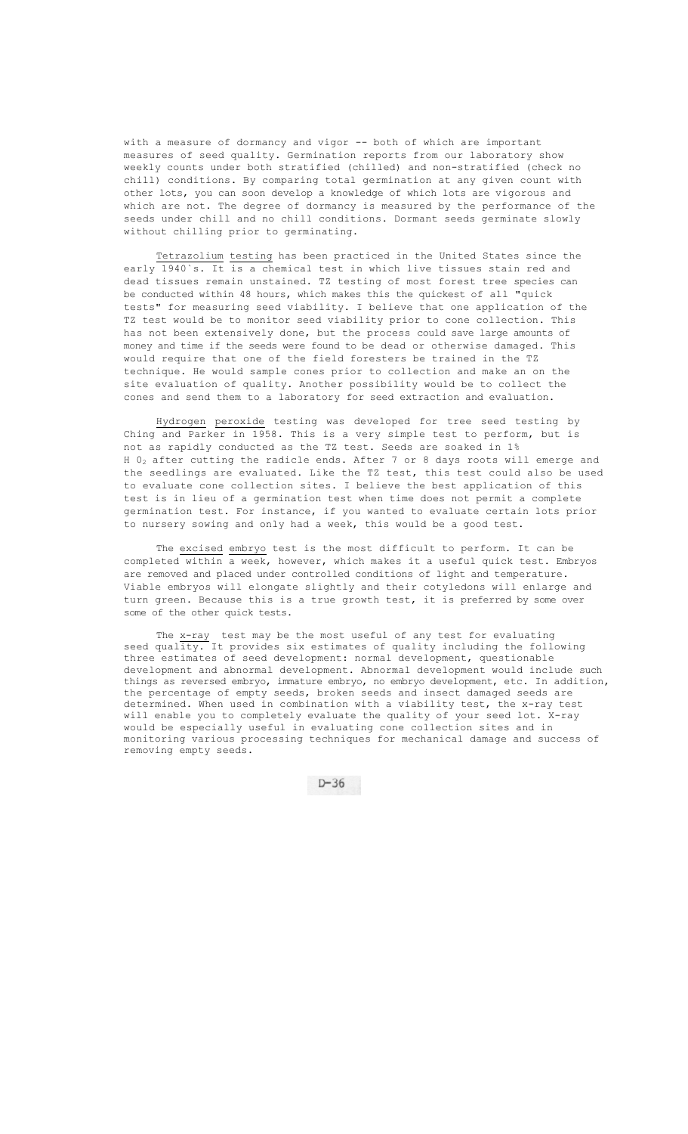with a measure of dormancy and vigor -- both of which are important measures of seed quality. Germination reports from our laboratory show weekly counts under both stratified (chilled) and non-stratified (check no chill) conditions. By comparing total germination at any given count with other lots, you can soon develop a knowledge of which lots are vigorous and which are not. The degree of dormancy is measured by the performance of the seeds under chill and no chill conditions. Dormant seeds germinate slowly without chilling prior to germinating.

Tetrazolium testing has been practiced in the United States since the early 1940`s. It is a chemical test in which live tissues stain red and dead tissues remain unstained. TZ testing of most forest tree species can be conducted within 48 hours, which makes this the quickest of all "quick tests" for measuring seed viability. I believe that one application of the TZ test would be to monitor seed viability prior to cone collection. This has not been extensively done, but the process could save large amounts of money and time if the seeds were found to be dead or otherwise damaged. This would require that one of the field foresters be trained in the TZ technique. He would sample cones prior to collection and make an on the site evaluation of quality. Another possibility would be to collect the cones and send them to a laboratory for seed extraction and evaluation.

Hydrogen peroxide testing was developed for tree seed testing by Ching and Parker in 1958. This is a very simple test to perform, but is not as rapidly conducted as the TZ test. Seeds are soaked in 1% H  $0<sub>2</sub>$  after cutting the radicle ends. After 7 or 8 days roots will emerge and the seedlings are evaluated. Like the TZ test, this test could also be used to evaluate cone collection sites. I believe the best application of this test is in lieu of a germination test when time does not permit a complete germination test. For instance, if you wanted to evaluate certain lots prior to nursery sowing and only had a week, this would be a good test.

The excised embryo test is the most difficult to perform. It can be completed within a week, however, which makes it a useful quick test. Embryos are removed and placed under controlled conditions of light and temperature. Viable embryos will elongate slightly and their cotyledons will enlarge and turn green. Because this is a true growth test, it is preferred by some over some of the other quick tests.

The x-ray test may be the most useful of any test for evaluating seed quality. It provides six estimates of quality including the following three estimates of seed development: normal development, questionable development and abnormal development. Abnormal development would include such things as reversed embryo, immature embryo, no embryo development, etc. In addition, the percentage of empty seeds, broken seeds and insect damaged seeds are determined. When used in combination with a viability test, the x-ray test will enable you to completely evaluate the quality of your seed lot. X-ray would be especially useful in evaluating cone collection sites and in monitoring various processing techniques for mechanical damage and success of removing empty seeds.

 $D-36$